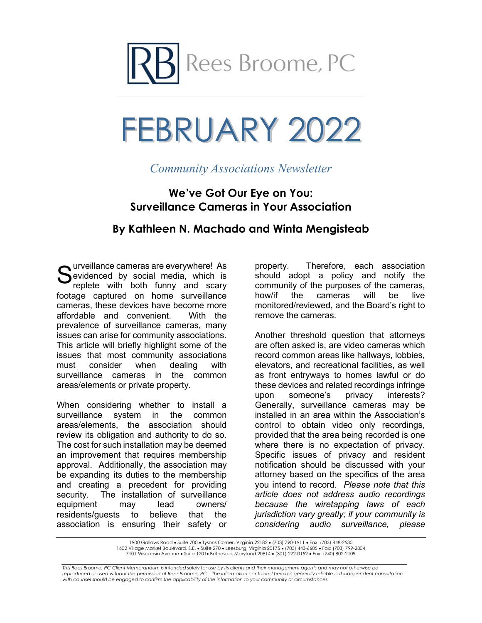

# FEBRUARY 2022

## *Community Associations Newsletter*

### **We've Got Our Eye on You: Surveillance Cameras in Your Association**

### **By Kathleen N. Machado and Winta Mengisteab**

Surveillance cameras are everywhere! As<br>Sevidenced by social media, which is<br>replete with both funny and scary evidenced by social media, which is replete with both funny and scary footage captured on home surveillance cameras, these devices have become more affordable and convenient. With the prevalence of surveillance cameras, many issues can arise for community associations. This article will briefly highlight some of the issues that most community associations must consider when dealing with surveillance cameras in the common areas/elements or private property.

When considering whether to install a surveillance system in the common areas/elements, the association should review its obligation and authority to do so. The cost for such installation may be deemed an improvement that requires membership approval. Additionally, the association may be expanding its duties to the membership and creating a precedent for providing<br>security. The installation of surveillance The installation of surveillance equipment may lead owners/ residents/guests to believe that the association is ensuring their safety or

property. Therefore, each association should adopt a policy and notify the community of the purposes of the cameras, how/if the cameras will be live monitored/reviewed, and the Board's right to remove the cameras.

Another threshold question that attorneys are often asked is, are video cameras which record common areas like hallways, lobbies, elevators, and recreational facilities, as well as front entryways to homes lawful or do these devices and related recordings infringe<br>upon someone's privacy interests? upon someone's privacy interests? Generally, surveillance cameras may be installed in an area within the Association's control to obtain video only recordings, provided that the area being recorded is one where there is no expectation of privacy. Specific issues of privacy and resident notification should be discussed with your attorney based on the specifics of the area you intend to record. *Please note that this article does not address audio recordings because the wiretapping laws of each jurisdiction vary greatly; if your community is considering audio surveillance, please* 

1900 Gallows Road • Suite 700 • Tysons Corner, Virginia 22182 • (703) 790-1911 • Fax: (703) 848-2530 1602 Village Market Boulevard, S.E. • Suite 270 • Leesburg, Virginia 20175 • (703) 443-6605 • Fax: (703) 799-2804 7101 Wisconsin Avenue • Suite 1201• Bethesda, Maryland 20814 • (301) 222-0152 • Fax: (240) 802-2109

*This Rees Broome, PC Client Memorandum is intended solely for use by its clients and their management agents and may not otherwise be*  reproduced or used without the permission of Rees Broome, PC. The information contained herein is generally reliable but independent consultation *with counsel should be engaged to confirm the applicability of the information to your community or circumstances.*